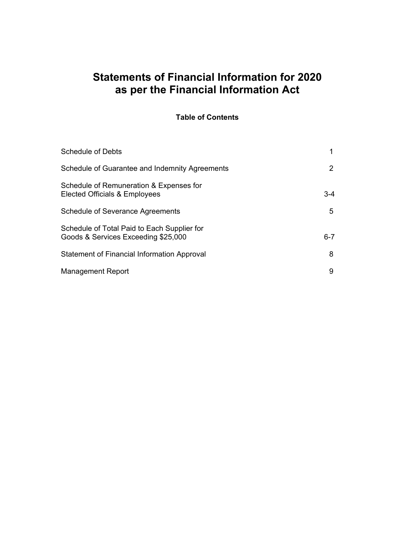### **Table of Contents**

| <b>Schedule of Debts</b>                                                           |       |
|------------------------------------------------------------------------------------|-------|
| Schedule of Guarantee and Indemnity Agreements                                     |       |
| Schedule of Remuneration & Expenses for<br>Elected Officials & Employees           | 3-4   |
| <b>Schedule of Severance Agreements</b>                                            | 5     |
| Schedule of Total Paid to Each Supplier for<br>Goods & Services Exceeding \$25,000 | $6-7$ |
| <b>Statement of Financial Information Approval</b>                                 | 8     |
| <b>Management Report</b>                                                           | 9     |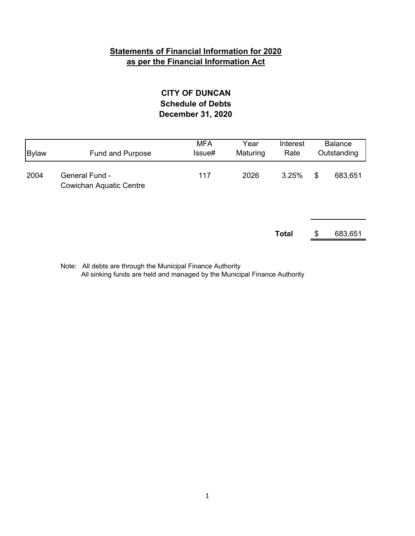### **December 31, 2020 CITY OF DUNCAN Schedule of Debts**

| <b>Bylaw</b> | Fund and Purpose                                        | <b>MFA</b><br>Issue# | Year<br>Maturing | Interest<br>Rate | <b>Balance</b><br>Outstanding |
|--------------|---------------------------------------------------------|----------------------|------------------|------------------|-------------------------------|
| 2004         | <b>General Fund -</b><br><b>Cowichan Aquatic Centre</b> | 117                  | 2026             | 3.25%            | \$<br>683,651                 |
|              |                                                         |                      |                  | <b>Total</b>     | \$<br>683,651                 |

Note: All debts are through the Municipal Finance Authority All sinking funds are held and managed by the Municipal Finance Authority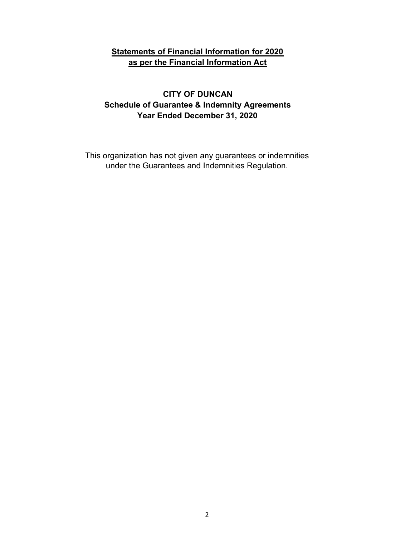### **CITY OF DUNCAN Schedule of Guarantee & Indemnity Agreements Year Ended December 31, 2020**

This organization has not given any guarantees or indemnities under the Guarantees and Indemnities Regulation.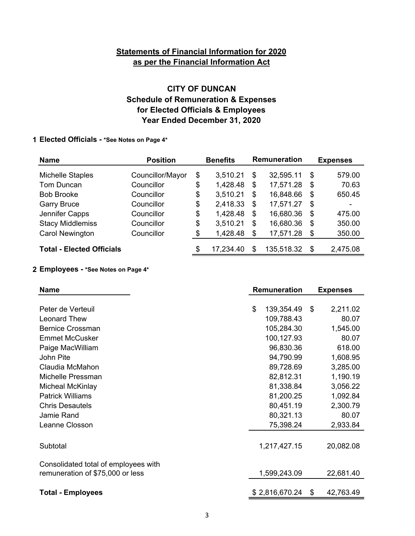### **Year Ended December 31, 2020 CITY OF DUNCAN Schedule of Remuneration & Expenses for Elected Officials & Employees**

#### **1 Elected Officials - \*See Notes on Page 4\***

| <b>Name</b>                      | <b>Position</b>  | <b>Benefits</b> | Remuneration     | <b>Expenses</b> |
|----------------------------------|------------------|-----------------|------------------|-----------------|
| <b>Michelle Staples</b>          | Councillor/Mayor | \$<br>3,510.21  | \$<br>32,595.11  | \$<br>579.00    |
| Tom Duncan                       | Councillor       | \$<br>1,428.48  | \$<br>17,571.28  | \$<br>70.63     |
| <b>Bob Brooke</b>                | Councillor       | \$<br>3,510.21  | \$<br>16,848.66  | \$<br>650.45    |
| <b>Garry Bruce</b>               | Councillor       | \$<br>2,418.33  | \$<br>17,571.27  | \$<br>-         |
| Jennifer Capps                   | Councillor       | \$<br>1,428.48  | \$<br>16,680.36  | \$<br>475.00    |
| <b>Stacy Middlemiss</b>          | Councillor       | \$<br>3,510.21  | \$<br>16,680.36  | \$<br>350.00    |
| <b>Carol Newington</b>           | Councillor       | \$<br>1,428.48  | \$<br>17,571.28  | \$<br>350.00    |
| <b>Total - Elected Officials</b> |                  | \$<br>17,234.40 | \$<br>135,518.32 | \$<br>2,475.08  |

#### **2 Employees - \*See Notes on Page 4\***

| <b>Name</b>                          | Remuneration |                | <b>Expenses</b> |  |
|--------------------------------------|--------------|----------------|-----------------|--|
|                                      |              |                |                 |  |
| Peter de Verteuil                    | \$           | 139,354.49     | \$<br>2,211.02  |  |
| <b>Leonard Thew</b>                  |              | 109,788.43     | 80.07           |  |
| <b>Bernice Crossman</b>              |              | 105,284.30     | 1,545.00        |  |
| <b>Emmet McCusker</b>                |              | 100,127.93     | 80.07           |  |
| Paige MacWilliam                     |              | 96,830.36      | 618.00          |  |
| John Pite                            |              | 94,790.99      | 1,608.95        |  |
| Claudia McMahon                      |              | 89,728.69      | 3,285.00        |  |
| Michelle Pressman                    |              | 82,812.31      | 1,190.19        |  |
| <b>Micheal McKinlay</b>              |              | 81,338.84      | 3,056.22        |  |
| <b>Patrick Williams</b>              |              | 81,200.25      | 1,092.84        |  |
| <b>Chris Desautels</b>               |              | 80,451.19      | 2,300.79        |  |
| Jamie Rand                           |              | 80,321.13      | 80.07           |  |
| Leanne Closson                       |              | 75,398.24      | 2,933.84        |  |
|                                      |              |                |                 |  |
| Subtotal                             |              | 1,217,427.15   | 20,082.08       |  |
| Consolidated total of employees with |              |                |                 |  |
| remuneration of \$75,000 or less     |              | 1,599,243.09   | 22,681.40       |  |
| <b>Total - Employees</b>             |              | \$2,816,670.24 | \$<br>42,763.49 |  |
|                                      |              |                |                 |  |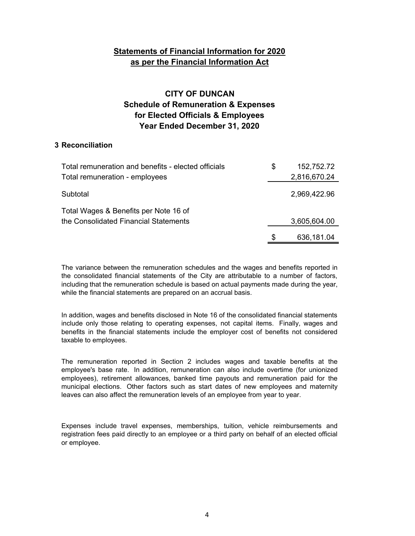### **CITY OF DUNCAN Schedule of Remuneration & Expenses for Elected Officials & Employees Year Ended December 31, 2020**

#### **3 Reconciliation**

| Total remuneration and benefits - elected officials | S | 152,752.72   |
|-----------------------------------------------------|---|--------------|
| Total remuneration - employees                      |   | 2,816,670.24 |
| Subtotal                                            |   | 2,969,422.96 |
| Total Wages & Benefits per Note 16 of               |   |              |
| the Consolidated Financial Statements               |   | 3,605,604.00 |
|                                                     |   | 636,181.04   |

The variance between the remuneration schedules and the wages and benefits reported in the consolidated financial statements of the City are attributable to a number of factors, including that the remuneration schedule is based on actual payments made during the year, while the financial statements are prepared on an accrual basis.

In addition, wages and benefits disclosed in Note 16 of the consolidated financial statements include only those relating to operating expenses, not capital items. Finally, wages and benefits in the financial statements include the employer cost of benefits not considered taxable to employees.

The remuneration reported in Section 2 includes wages and taxable benefits at the employee's base rate. In addition, remuneration can also include overtime (for unionized employees), retirement allowances, banked time payouts and remuneration paid for the municipal elections. Other factors such as start dates of new employees and maternity leaves can also affect the remuneration levels of an employee from year to year.

Expenses include travel expenses, memberships, tuition, vehicle reimbursements and registration fees paid directly to an employee or a third party on behalf of an elected official or employee.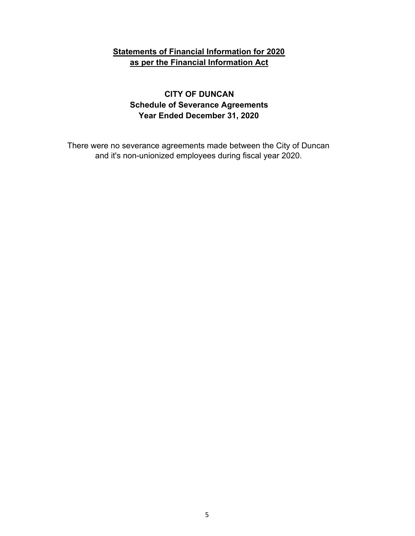### **CITY OF DUNCAN Schedule of Severance Agreements Year Ended December 31, 2020**

There were no severance agreements made between the City of Duncan and it's non-unionized employees during fiscal year 2020.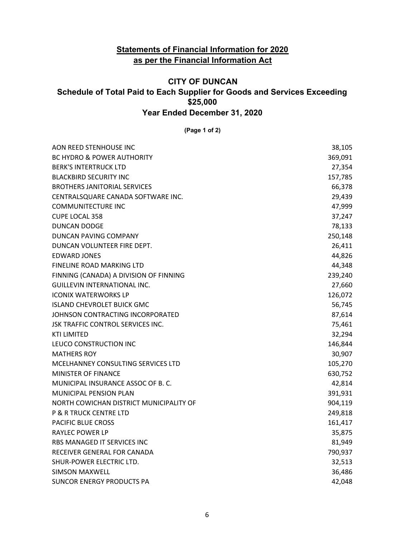### **CITY OF DUNCAN Schedule of Total Paid to Each Supplier for Goods and Services Exceeding \$25,000 Year Ended December 31, 2020**

**(Page 1 of 2)**

| AON REED STENHOUSE INC                  | 38,105  |
|-----------------------------------------|---------|
| <b>BC HYDRO &amp; POWER AUTHORITY</b>   | 369,091 |
| <b>BERK'S INTERTRUCK LTD</b>            | 27,354  |
| <b>BLACKBIRD SECURITY INC</b>           | 157,785 |
| <b>BROTHERS JANITORIAL SERVICES</b>     | 66,378  |
| CENTRALSQUARE CANADA SOFTWARE INC.      | 29,439  |
| <b>COMMUNITECTURE INC</b>               | 47,999  |
| <b>CUPE LOCAL 358</b>                   | 37,247  |
| <b>DUNCAN DODGE</b>                     | 78,133  |
| DUNCAN PAVING COMPANY                   | 250,148 |
| DUNCAN VOLUNTEER FIRE DEPT.             | 26,411  |
| <b>EDWARD JONES</b>                     | 44,826  |
| FINELINE ROAD MARKING LTD               | 44,348  |
| FINNING (CANADA) A DIVISION OF FINNING  | 239,240 |
| <b>GUILLEVIN INTERNATIONAL INC.</b>     | 27,660  |
| <b>ICONIX WATERWORKS LP</b>             | 126,072 |
| <b>ISLAND CHEVROLET BUICK GMC</b>       | 56,745  |
| JOHNSON CONTRACTING INCORPORATED        | 87,614  |
| JSK TRAFFIC CONTROL SERVICES INC.       | 75,461  |
| <b>KTI LIMITED</b>                      | 32,294  |
| LEUCO CONSTRUCTION INC                  | 146,844 |
| <b>MATHERS ROY</b>                      | 30,907  |
| MCELHANNEY CONSULTING SERVICES LTD      | 105,270 |
| <b>MINISTER OF FINANCE</b>              | 630,752 |
| MUNICIPAL INSURANCE ASSOC OF B.C.       | 42,814  |
| MUNICIPAL PENSION PLAN                  | 391,931 |
| NORTH COWICHAN DISTRICT MUNICIPALITY OF | 904,119 |
| <b>P &amp; R TRUCK CENTRE LTD</b>       | 249,818 |
| <b>PACIFIC BLUE CROSS</b>               | 161,417 |
| <b>RAYLEC POWER LP</b>                  | 35,875  |
| RBS MANAGED IT SERVICES INC             | 81,949  |
| RECEIVER GENERAL FOR CANADA             | 790,937 |
| SHUR-POWER ELECTRIC LTD.                | 32,513  |
| <b>SIMSON MAXWELL</b>                   | 36,486  |
| SUNCOR ENERGY PRODUCTS PA               | 42,048  |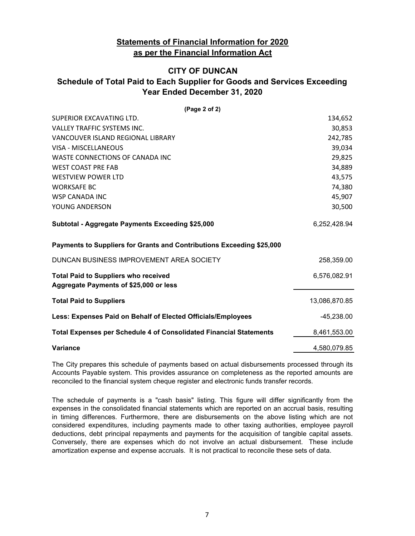### **CITY OF DUNCAN Schedule of Total Paid to Each Supplier for Goods and Services Exceeding Year Ended December 31, 2020**

| (Page 2 of 2)                                                                         |               |
|---------------------------------------------------------------------------------------|---------------|
| SUPERIOR EXCAVATING LTD.                                                              | 134,652       |
| <b>VALLEY TRAFFIC SYSTEMS INC.</b>                                                    | 30,853        |
| VANCOUVER ISLAND REGIONAL LIBRARY                                                     | 242,785       |
| <b>VISA - MISCELLANEOUS</b>                                                           | 39,034        |
| WASTE CONNECTIONS OF CANADA INC                                                       | 29,825        |
| <b>WEST COAST PRE FAB</b>                                                             | 34,889        |
| <b>WESTVIEW POWER LTD</b>                                                             | 43,575        |
| <b>WORKSAFE BC</b>                                                                    | 74,380        |
| WSP CANADA INC                                                                        | 45,907        |
| YOUNG ANDERSON                                                                        | 30,500        |
| Subtotal - Aggregate Payments Exceeding \$25,000                                      | 6,252,428.94  |
| Payments to Suppliers for Grants and Contributions Exceeding \$25,000                 |               |
| DUNCAN BUSINESS IMPROVEMENT AREA SOCIETY                                              | 258,359.00    |
| <b>Total Paid to Suppliers who received</b><br>Aggregate Payments of \$25,000 or less | 6,576,082.91  |
| <b>Total Paid to Suppliers</b>                                                        | 13,086,870.85 |
| Less: Expenses Paid on Behalf of Elected Officials/Employees                          | $-45,238.00$  |
| <b>Total Expenses per Schedule 4 of Consolidated Financial Statements</b>             | 8,461,553.00  |
| Variance                                                                              | 4,580,079.85  |
|                                                                                       |               |

The City prepares this schedule of payments based on actual disbursements processed through its Accounts Payable system. This provides assurance on completeness as the reported amounts are reconciled to the financial system cheque register and electronic funds transfer records.

The schedule of payments is a "cash basis" listing. This figure will differ significantly from the expenses in the consolidated financial statements which are reported on an accrual basis, resulting in timing differences. Furthermore, there are disbursements on the above listing which are not considered expenditures, including payments made to other taxing authorities, employee payroll deductions, debt principal repayments and payments for the acquisition of tangible capital assets. Conversely, there are expenses which do not involve an actual disbursement. These include amortization expense and expense accruals. It is not practical to reconcile these sets of data.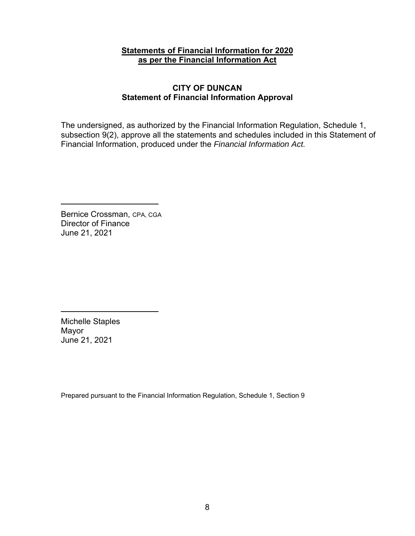### **CITY OF DUNCAN Statement of Financial Information Approval**

The undersigned, as authorized by the Financial Information Regulation, Schedule 1, subsection 9(2), approve all the statements and schedules included in this Statement of Financial Information, produced under the *Financial Information Act.*

Bernice Crossman, CPA, CGA Director of Finance June 21, 2021

Michelle Staples Mayor June 21, 2021

Prepared pursuant to the Financial Information Regulation, Schedule 1, Section 9